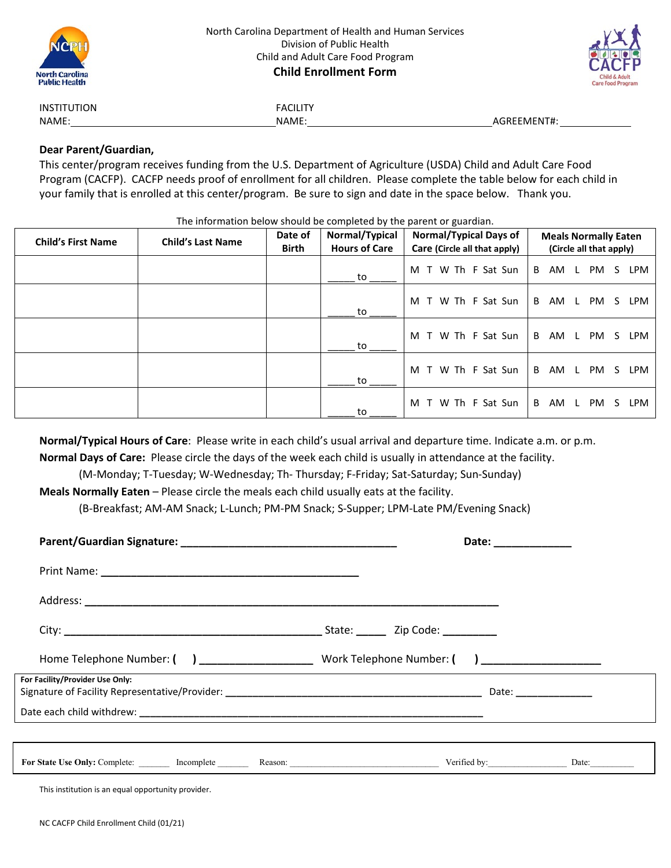



| <b>INSTITUTION</b> |  |  |
|--------------------|--|--|
| NAME:              |  |  |

**FACILITY** 

NAME: NAME: AGREEMENT#:

# **Dear Parent/Guardian,**

This center/program receives funding from the U.S. Department of Agriculture (USDA) Child and Adult Care Food Program (CACFP). CACFP needs proof of enrollment for all children. Please complete the table below for each child in your family that is enrolled at this center/program. Be sure to sign and date in the space below. Thank you.

The information below should be completed by the parent or guardian.

| <b>Child's First Name</b> | <b>Child's Last Name</b> | Date of<br><b>Birth</b> | Normal/Typical<br><b>Hours of Care</b> | <b>Normal/Typical Days of</b><br>Care (Circle all that apply) | <b>Meals Normally Eaten</b><br>(Circle all that apply) |  |  |
|---------------------------|--------------------------|-------------------------|----------------------------------------|---------------------------------------------------------------|--------------------------------------------------------|--|--|
|                           |                          |                         | to                                     | M T W Th F Sat Sun                                            | AM L<br>PM<br>B<br><b>LPM</b><br>S.                    |  |  |
|                           |                          |                         | to                                     | T W Th F Sat Sun<br>M                                         | B<br>AM L PM<br>LPM<br>S.                              |  |  |
|                           |                          |                         | to                                     | T W Th F Sat Sun<br>M                                         | AM L PM<br>B<br>S LPM                                  |  |  |
|                           |                          |                         | to                                     | M T W Th F Sat Sun                                            | B<br>AM L PM<br>S LPM                                  |  |  |
|                           |                          |                         | to                                     | T W Th F Sat Sun<br>M                                         | B<br>AM L<br>LPM<br>PM<br>S.                           |  |  |

**Normal/Typical Hours of Care**: Please write in each child's usual arrival and departure time. Indicate a.m. or p.m.

**Normal Days of Care:** Please circle the days of the week each child is usually in attendance at the facility.

(M-Monday; T-Tuesday; W-Wednesday; Th- Thursday; F-Friday; Sat-Saturday; Sun-Sunday)

**Meals Normally Eaten** – Please circle the meals each child usually eats at the facility.

(B-Breakfast; AM-AM Snack; L-Lunch; PM-PM Snack; S-Supper; LPM-Late PM/Evening Snack)

|                                                                                          |  | Date: _____________ |  |
|------------------------------------------------------------------------------------------|--|---------------------|--|
|                                                                                          |  |                     |  |
|                                                                                          |  |                     |  |
|                                                                                          |  |                     |  |
|                                                                                          |  |                     |  |
| For Facility/Provider Use Only:                                                          |  |                     |  |
|                                                                                          |  |                     |  |
|                                                                                          |  |                     |  |
| For State Use Only: Complete: Incomplete Reason: Reason: Verified by: Verified by: Date: |  |                     |  |
| This institution is an equal opportunity provider.                                       |  |                     |  |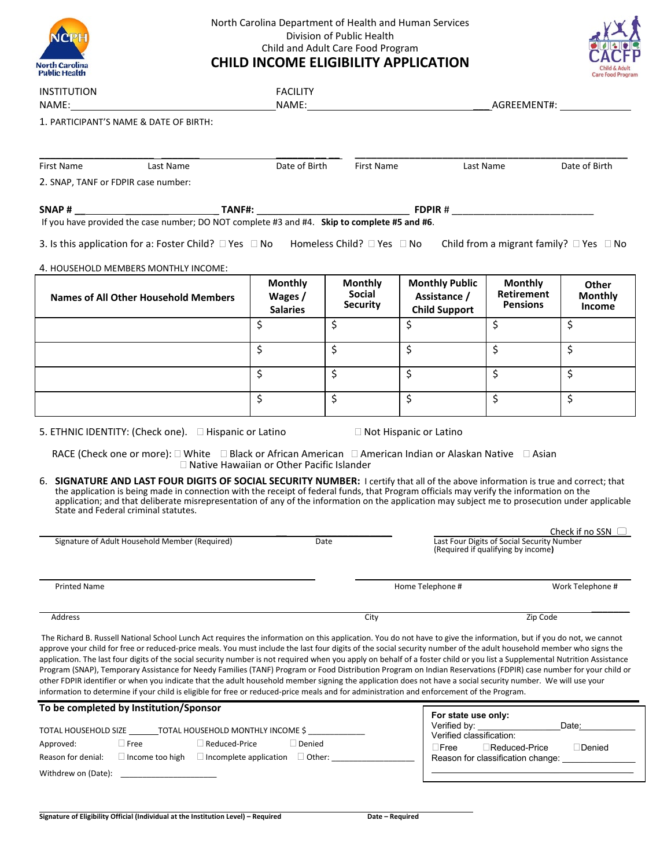| North Carolina<br><b>Public Health</b> |
|----------------------------------------|

## North Carolina Department of Health and Human Services Division of Public Health Child and Adult Care Food Program **CHILD INCOME ELIGIBILITY APPLICATION**



|                                                                                                                                                                                                                                                                                                                                                                                                                                                                                                                                                                                                                                                                                                                                                                                                                                                                                                                                                                                                     |                                              |                                                    |                                                               |                                                                                  | <b>Care Food Program</b>                 |  |  |
|-----------------------------------------------------------------------------------------------------------------------------------------------------------------------------------------------------------------------------------------------------------------------------------------------------------------------------------------------------------------------------------------------------------------------------------------------------------------------------------------------------------------------------------------------------------------------------------------------------------------------------------------------------------------------------------------------------------------------------------------------------------------------------------------------------------------------------------------------------------------------------------------------------------------------------------------------------------------------------------------------------|----------------------------------------------|----------------------------------------------------|---------------------------------------------------------------|----------------------------------------------------------------------------------|------------------------------------------|--|--|
| <b>INSTITUTION</b><br>NAME: NAME:                                                                                                                                                                                                                                                                                                                                                                                                                                                                                                                                                                                                                                                                                                                                                                                                                                                                                                                                                                   | <b>FACILITY</b>                              |                                                    |                                                               |                                                                                  |                                          |  |  |
| 1. PARTICIPANT'S NAME & DATE OF BIRTH:                                                                                                                                                                                                                                                                                                                                                                                                                                                                                                                                                                                                                                                                                                                                                                                                                                                                                                                                                              |                                              |                                                    |                                                               |                                                                                  |                                          |  |  |
| First Name<br>Last Name                                                                                                                                                                                                                                                                                                                                                                                                                                                                                                                                                                                                                                                                                                                                                                                                                                                                                                                                                                             | Date of Birth                                | First Name                                         |                                                               | Last Name                                                                        | Date of Birth                            |  |  |
| 2. SNAP, TANF or FDPIR case number:                                                                                                                                                                                                                                                                                                                                                                                                                                                                                                                                                                                                                                                                                                                                                                                                                                                                                                                                                                 |                                              |                                                    |                                                               |                                                                                  |                                          |  |  |
|                                                                                                                                                                                                                                                                                                                                                                                                                                                                                                                                                                                                                                                                                                                                                                                                                                                                                                                                                                                                     |                                              |                                                    |                                                               |                                                                                  |                                          |  |  |
|                                                                                                                                                                                                                                                                                                                                                                                                                                                                                                                                                                                                                                                                                                                                                                                                                                                                                                                                                                                                     |                                              |                                                    |                                                               |                                                                                  |                                          |  |  |
| 3. Is this application for a: Foster Child? $\Box$ Yes $\Box$ No Homeless Child? $\Box$ Yes $\Box$ No Child from a migrant family? $\Box$ Yes $\Box$ No                                                                                                                                                                                                                                                                                                                                                                                                                                                                                                                                                                                                                                                                                                                                                                                                                                             |                                              |                                                    |                                                               |                                                                                  |                                          |  |  |
| 4. HOUSEHOLD MEMBERS MONTHLY INCOME:                                                                                                                                                                                                                                                                                                                                                                                                                                                                                                                                                                                                                                                                                                                                                                                                                                                                                                                                                                |                                              |                                                    |                                                               |                                                                                  |                                          |  |  |
| Names of All Other Household Members                                                                                                                                                                                                                                                                                                                                                                                                                                                                                                                                                                                                                                                                                                                                                                                                                                                                                                                                                                | <b>Monthly</b><br>Wages /<br><b>Salaries</b> | <b>Monthly</b><br><b>Social</b><br><b>Security</b> | <b>Monthly Public</b><br>Assistance /<br><b>Child Support</b> | <b>Monthly</b><br><b>Retirement</b><br><b>Pensions</b>                           | <b>Other</b><br><b>Monthly</b><br>Income |  |  |
|                                                                                                                                                                                                                                                                                                                                                                                                                                                                                                                                                                                                                                                                                                                                                                                                                                                                                                                                                                                                     | $\zeta$                                      | \$                                                 | \$                                                            | \$                                                                               | \$                                       |  |  |
|                                                                                                                                                                                                                                                                                                                                                                                                                                                                                                                                                                                                                                                                                                                                                                                                                                                                                                                                                                                                     | $\zeta$                                      | \$                                                 | \$                                                            | $\boldsymbol{\zeta}$                                                             | \$                                       |  |  |
|                                                                                                                                                                                                                                                                                                                                                                                                                                                                                                                                                                                                                                                                                                                                                                                                                                                                                                                                                                                                     | \$                                           | \$                                                 | \$                                                            | \$                                                                               | \$                                       |  |  |
|                                                                                                                                                                                                                                                                                                                                                                                                                                                                                                                                                                                                                                                                                                                                                                                                                                                                                                                                                                                                     | \$                                           | \$                                                 | \$                                                            | \$                                                                               | \$                                       |  |  |
| 6. SIGNATURE AND LAST FOUR DIGITS OF SOCIAL SECURITY NUMBER: I certify that all of the above information is true and correct; that<br>the application is being made in connection with the receipt of federal funds, that Program officials may verify the information on the<br>application; and that deliberate misrepresentation of any of the information on the application may subject me to prosecution under applicable<br>State and Federal criminal statutes.                                                                                                                                                                                                                                                                                                                                                                                                                                                                                                                             |                                              |                                                    |                                                               |                                                                                  |                                          |  |  |
|                                                                                                                                                                                                                                                                                                                                                                                                                                                                                                                                                                                                                                                                                                                                                                                                                                                                                                                                                                                                     |                                              |                                                    |                                                               |                                                                                  |                                          |  |  |
| Signature of Adult Household Member (Required)                                                                                                                                                                                                                                                                                                                                                                                                                                                                                                                                                                                                                                                                                                                                                                                                                                                                                                                                                      |                                              | Date                                               |                                                               | Last Four Digits of Social Security Number<br>(Required if qualifying by income) |                                          |  |  |
| <b>Printed Name</b>                                                                                                                                                                                                                                                                                                                                                                                                                                                                                                                                                                                                                                                                                                                                                                                                                                                                                                                                                                                 |                                              |                                                    | Home Telephone #                                              |                                                                                  | Work Telephone #                         |  |  |
| Address                                                                                                                                                                                                                                                                                                                                                                                                                                                                                                                                                                                                                                                                                                                                                                                                                                                                                                                                                                                             |                                              | City                                               |                                                               | Zip Code                                                                         | Check if no SSN $\Box$                   |  |  |
| The Richard B. Russell National School Lunch Act requires the information on this application. You do not have to give the information, but if you do not, we cannot                                                                                                                                                                                                                                                                                                                                                                                                                                                                                                                                                                                                                                                                                                                                                                                                                                |                                              |                                                    |                                                               |                                                                                  |                                          |  |  |
|                                                                                                                                                                                                                                                                                                                                                                                                                                                                                                                                                                                                                                                                                                                                                                                                                                                                                                                                                                                                     |                                              |                                                    |                                                               |                                                                                  |                                          |  |  |
|                                                                                                                                                                                                                                                                                                                                                                                                                                                                                                                                                                                                                                                                                                                                                                                                                                                                                                                                                                                                     |                                              |                                                    | For state use only:<br>Verified by:                           |                                                                                  | Date:                                    |  |  |
| $\Box$ Free<br>$\Box$ Reduced-Price                                                                                                                                                                                                                                                                                                                                                                                                                                                                                                                                                                                                                                                                                                                                                                                                                                                                                                                                                                 | $\Box$ Denied                                |                                                    | Verified classification:<br>$\square$ Free                    | $\Box$ Reduced-Price                                                             | $\Box$ Denied                            |  |  |
| approve your child for free or reduced-price meals. You must include the last four digits of the social security number of the adult household member who signs the<br>application. The last four digits of the social security number is not required when you apply on behalf of a foster child or you list a Supplemental Nutrition Assistance<br>Program (SNAP), Temporary Assistance for Needy Families (TANF) Program or Food Distribution Program on Indian Reservations (FDPIR) case number for your child or<br>other FDPIR identifier or when you indicate that the adult household member signing the application does not have a social security number. We will use your<br>information to determine if your child is eligible for free or reduced-price meals and for administration and enforcement of the Program.<br>To be completed by Institution/Sponsor<br>TOTAL HOUSEHOLD SIZE TOTAL HOUSEHOLD MONTHLY INCOME \$<br>Approved:<br>Reason for denial:<br>$\Box$ Income too high | $\Box$ Incomplete application $\Box$ Other:  |                                                    |                                                               | Reason for classification change:                                                |                                          |  |  |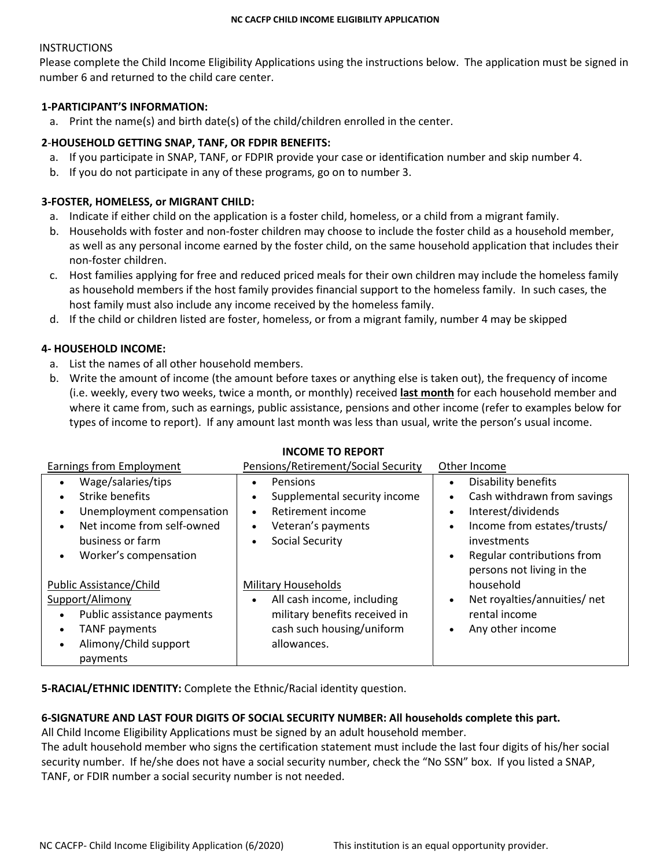## **INSTRUCTIONS**

Please complete the Child Income Eligibility Applications using the instructions below. The application must be signed in number 6 and returned to the child care center.

## **1-PARTICIPANT'S INFORMATION:**

a. Print the name(s) and birth date(s) of the child/children enrolled in the center.

# **2**-**HOUSEHOLD GETTING SNAP, TANF, OR FDPIR BENEFITS:**

- a. If you participate in SNAP, TANF, or FDPIR provide your case or identification number and skip number 4.
- b. If you do not participate in any of these programs, go on to number 3.

# **3-FOSTER, HOMELESS, or MIGRANT CHILD:**

- a. Indicate if either child on the application is a foster child, homeless, or a child from a migrant family.
- b. Households with foster and non-foster children may choose to include the foster child as a household member, as well as any personal income earned by the foster child, on the same household application that includes their non-foster children.
- c. Host families applying for free and reduced priced meals for their own children may include the homeless family as household members if the host family provides financial support to the homeless family. In such cases, the host family must also include any income received by the homeless family.
- d. If the child or children listed are foster, homeless, or from a migrant family, number 4 may be skipped

# **4- HOUSEHOLD INCOME:**

- a. List the names of all other household members.
- b. Write the amount of income (the amount before taxes or anything else is taken out), the frequency of income (i.e. weekly, every two weeks, twice a month, or monthly) received **last month** for each household member and where it came from, such as earnings, public assistance, pensions and other income (refer to examples below for types of income to report). If any amount last month was less than usual, write the person's usual income.

| <b>Earnings from Employment</b>         | Pensions/Retirement/Social Security     | Other Income                              |
|-----------------------------------------|-----------------------------------------|-------------------------------------------|
| Wage/salaries/tips<br>$\bullet$         | Pensions<br>$\bullet$                   | Disability benefits                       |
| Strike benefits                         | Supplemental security income            | Cash withdrawn from savings               |
| Unemployment compensation<br>$\bullet$  | Retirement income<br>$\bullet$          | Interest/dividends<br>$\bullet$           |
| Net income from self-owned<br>$\bullet$ | Veteran's payments                      | Income from estates/trusts/               |
| business or farm                        | Social Security                         | investments                               |
| Worker's compensation<br>$\bullet$      |                                         | Regular contributions from<br>$\bullet$   |
|                                         |                                         | persons not living in the                 |
| Public Assistance/Child                 | <b>Military Households</b>              | household                                 |
| Support/Alimony                         | All cash income, including<br>$\bullet$ | Net royalties/annuities/ net<br>$\bullet$ |
| Public assistance payments<br>$\bullet$ | military benefits received in           | rental income                             |
| <b>TANF payments</b>                    | cash such housing/uniform               | Any other income                          |
| Alimony/Child support<br>$\bullet$      | allowances.                             |                                           |
| payments                                |                                         |                                           |

### **INCOME TO REPORT**

**5-RACIAL/ETHNIC IDENTITY:** Complete the Ethnic/Racial identity question.

## **6-SIGNATURE AND LAST FOUR DIGITS OF SOCIAL SECURITY NUMBER: All households complete this part.**

All Child Income Eligibility Applications must be signed by an adult household member.

The adult household member who signs the certification statement must include the last four digits of his/her social security number. If he/she does not have a social security number, check the "No SSN" box. If you listed a SNAP, TANF, or FDIR number a social security number is not needed.